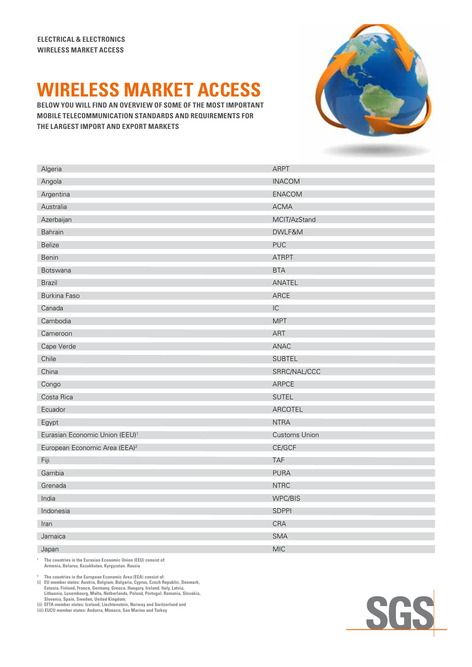## **WIRELESS MARKET ACCESS**

**Mobile Telecommunication standards and requirements for the largest import and export markets**



| Algeria                                    | <b>ARPT</b>          |
|--------------------------------------------|----------------------|
| Angola                                     | <b>INACOM</b>        |
| Argentina                                  | <b>ENACOM</b>        |
| Australia                                  | <b>ACMA</b>          |
| Azerbaijan                                 | MCIT/AzStand         |
| Bahrain                                    | DWLF&M               |
| <b>Belize</b>                              | <b>PUC</b>           |
| <b>Benin</b>                               | <b>ATRPT</b>         |
| <b>Botswana</b>                            | <b>BTA</b>           |
| <b>Brazil</b>                              | ANATEL               |
| <b>Burkina Faso</b>                        | ARCE                 |
| Canada                                     | IC                   |
| Cambodia                                   | <b>MPT</b>           |
| Cameroon                                   | ART                  |
| Cape Verde                                 | ANAC                 |
| Chile                                      | <b>SUBTEL</b>        |
| China                                      | SRRC/NAL/CCC         |
| Congo                                      | ARPCE                |
| Costa Rica                                 | <b>SUTEL</b>         |
| Ecuador                                    | ARCOTEL              |
| Egypt                                      | <b>NTRA</b>          |
| Eurasian Economic Union (EEU) <sup>1</sup> | <b>Customs Union</b> |
| European Economic Area (EEA) <sup>2</sup>  | CE/GCF               |
| Fiji                                       | <b>TAF</b>           |
| Gambia                                     | <b>PURA</b>          |
| Grenada                                    | <b>NTRC</b>          |
| India                                      | WPC/BIS              |
| Indonesia                                  | <b>SDPPI</b>         |
| Iran                                       | CRA                  |
| Jamaica                                    | <b>SMA</b>           |
| Japan                                      | <b>MIC</b>           |

**1 The countries in the Eurasian Economic Union (EEU) consist of: Armenia, Belarus, Kazakhstan, Kyrgyzstan. Russia**

 **The countries in the European Economic Area (EEA) consist of:**

The countries in the European Economic Area (EEA) consist of:<br>i) EU member states: Austria, Belgium, Bulgaria, Cyprus, Czech Republic, Denmark,<br>Estonia, Finland, France, Germany, Greece, Hungary, Ireland, Italy, Latvia,<br>Li

(ii) Slovenia, Spain, Sweden, United Kingdom;<br>(ii) EFTA member states: Iceland, Liechtenstein, Norway and Switzerland and<br>(iii) EUCU member states: Andorra, Monaco, San Marino and Turkey